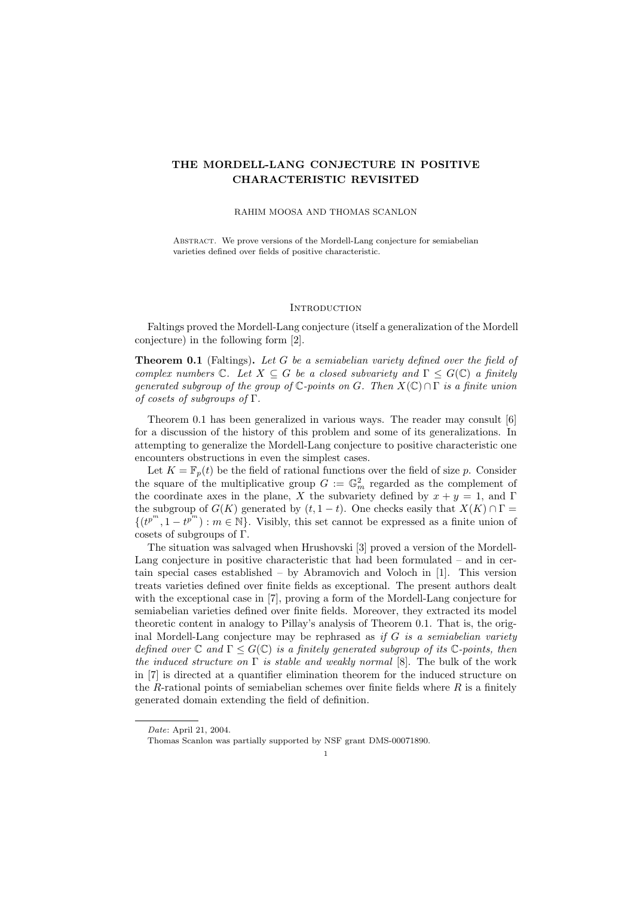# THE MORDELL-LANG CONJECTURE IN POSITIVE CHARACTERISTIC REVISITED

### RAHIM MOOSA AND THOMAS SCANLON

ABSTRACT. We prove versions of the Mordell-Lang conjecture for semiabelian varieties defined over fields of positive characteristic.

## **INTRODUCTION**

Faltings proved the Mordell-Lang conjecture (itself a generalization of the Mordell conjecture) in the following form [2].

**Theorem 0.1** (Faltings). Let G be a semiabelian variety defined over the field of complex numbers  $\mathbb{C}$ . Let  $X \subseteq G$  be a closed subvariety and  $\Gamma \leq G(\mathbb{C})$  a finitely generated subgroup of the group of  $\mathbb{C}$ -points on G. Then  $X(\mathbb{C}) \cap \Gamma$  is a finite union of cosets of subgroups of  $\Gamma$ .

Theorem 0.1 has been generalized in various ways. The reader may consult [6] for a discussion of the history of this problem and some of its generalizations. In attempting to generalize the Mordell-Lang conjecture to positive characteristic one encounters obstructions in even the simplest cases.

Let  $K = \mathbb{F}_p(t)$  be the field of rational functions over the field of size p. Consider the square of the multiplicative group  $G := \mathbb{G}_m^2$  regarded as the complement of the coordinate axes in the plane, X the subvariety defined by  $x + y = 1$ , and Γ the subgroup of  $G(K)$  generated by  $(t, 1-t)$ . One checks easily that  $X(K) \cap \Gamma$  $\{(t^{p^m}, 1-t^{p^m}) : m \in \mathbb{N}\}\.$  Visibly, this set cannot be expressed as a finite union of cosets of subgroups of Γ.

The situation was salvaged when Hrushovski [3] proved a version of the Mordell-Lang conjecture in positive characteristic that had been formulated – and in certain special cases established – by Abramovich and Voloch in [1]. This version treats varieties defined over finite fields as exceptional. The present authors dealt with the exceptional case in [7], proving a form of the Mordell-Lang conjecture for semiabelian varieties defined over finite fields. Moreover, they extracted its model theoretic content in analogy to Pillay's analysis of Theorem 0.1. That is, the original Mordell-Lang conjecture may be rephrased as if  $G$  is a semiabelian variety defined over  $\mathbb C$  and  $\Gamma \leq G(\mathbb C)$  is a finitely generated subgroup of its  $\mathbb C$ -points, then the induced structure on  $\Gamma$  is stable and weakly normal [8]. The bulk of the work in [7] is directed at a quantifier elimination theorem for the induced structure on the R-rational points of semiabelian schemes over finite fields where  $R$  is a finitely generated domain extending the field of definition.

Date: April 21, 2004.

Thomas Scanlon was partially supported by NSF grant DMS-00071890.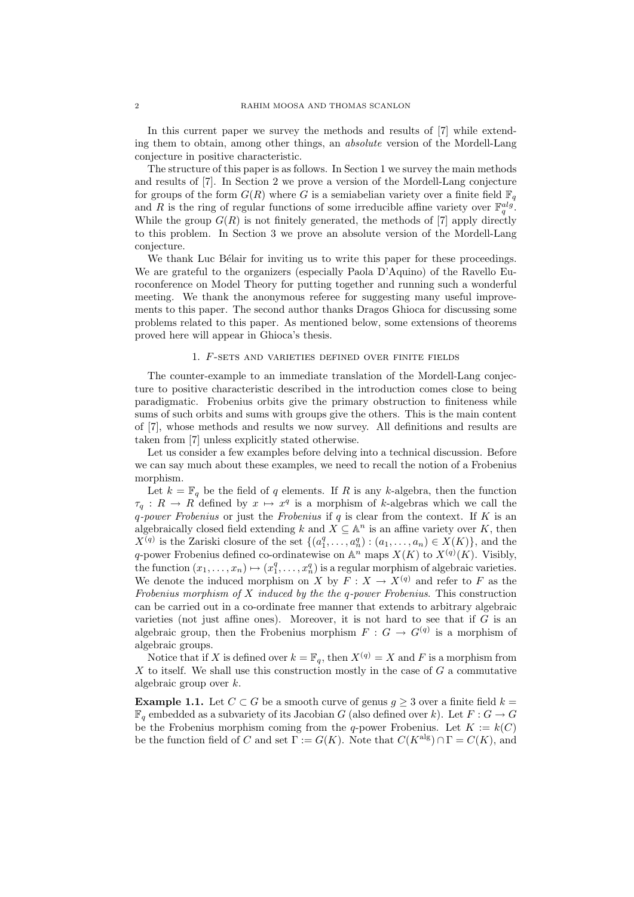In this current paper we survey the methods and results of [7] while extending them to obtain, among other things, an absolute version of the Mordell-Lang conjecture in positive characteristic.

The structure of this paper is as follows. In Section 1 we survey the main methods and results of [7]. In Section 2 we prove a version of the Mordell-Lang conjecture for groups of the form  $G(R)$  where G is a semiabelian variety over a finite field  $\mathbb{F}_q$ and R is the ring of regular functions of some irreducible affine variety over  $\mathbb{F}_q^{alg}$ . While the group  $G(R)$  is not finitely generated, the methods of [7] apply directly to this problem. In Section 3 we prove an absolute version of the Mordell-Lang conjecture.

We thank Luc Bélair for inviting us to write this paper for these proceedings. We are grateful to the organizers (especially Paola D'Aquino) of the Ravello Euroconference on Model Theory for putting together and running such a wonderful meeting. We thank the anonymous referee for suggesting many useful improvements to this paper. The second author thanks Dragos Ghioca for discussing some problems related to this paper. As mentioned below, some extensions of theorems proved here will appear in Ghioca's thesis.

# 1. F-sets and varieties defined over finite fields

The counter-example to an immediate translation of the Mordell-Lang conjecture to positive characteristic described in the introduction comes close to being paradigmatic. Frobenius orbits give the primary obstruction to finiteness while sums of such orbits and sums with groups give the others. This is the main content of [7], whose methods and results we now survey. All definitions and results are taken from [7] unless explicitly stated otherwise.

Let us consider a few examples before delving into a technical discussion. Before we can say much about these examples, we need to recall the notion of a Frobenius morphism.

Let  $k = \mathbb{F}_q$  be the field of q elements. If R is any k-algebra, then the function  $\tau_q: R \to R$  defined by  $x \mapsto x^q$  is a morphism of k-algebras which we call the q-power Frobenius or just the Frobenius if  $q$  is clear from the context. If  $K$  is an algebraically closed field extending k and  $X \subseteq \mathbb{A}^n$  is an affine variety over K, then  $X^{(q)}$  is the Zariski closure of the set  $\{(a_1^q, \ldots, a_n^q) : (a_1, \ldots, a_n) \in X(K)\},$  and the q-power Frobenius defined co-ordinatewise on  $\mathbb{A}^n$  maps  $X(K)$  to  $X^{(q)}(K)$ . Visibly, the function  $(x_1, \ldots, x_n) \mapsto (x_1^q, \ldots, x_n^q)$  is a regular morphism of algebraic varieties. We denote the induced morphism on X by  $F: X \to X^{(q)}$  and refer to F as the Frobenius morphism of  $X$  induced by the the q-power Frobenius. This construction can be carried out in a co-ordinate free manner that extends to arbitrary algebraic varieties (not just affine ones). Moreover, it is not hard to see that if  $G$  is an algebraic group, then the Frobenius morphism  $F: G \to G^{(q)}$  is a morphism of algebraic groups.

Notice that if X is defined over  $k = \mathbb{F}_q$ , then  $X^{(q)} = X$  and F is a morphism from  $X$  to itself. We shall use this construction mostly in the case of  $G$  a commutative algebraic group over k.

**Example 1.1.** Let  $C \subset G$  be a smooth curve of genus  $g \geq 3$  over a finite field  $k =$  $\mathbb{F}_q$  embedded as a subvariety of its Jacobian G (also defined over k). Let  $F: G \to G$ be the Frobenius morphism coming from the q-power Frobenius. Let  $K := k(C)$ be the function field of C and set  $\Gamma := G(K)$ . Note that  $C(K^{\text{alg}}) \cap \Gamma = C(K)$ , and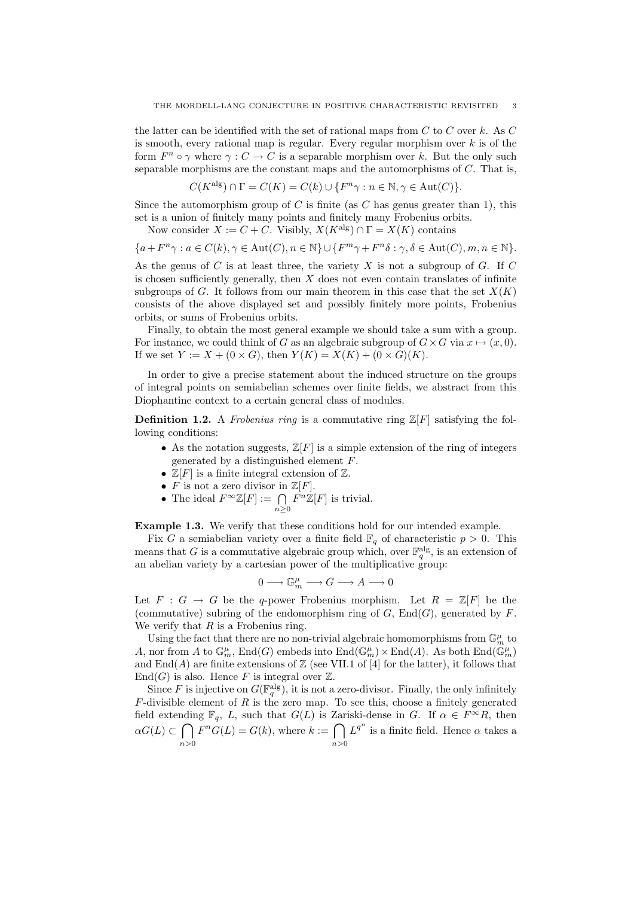the latter can be identified with the set of rational maps from  $C$  to  $C$  over k. As  $C$ is smooth, every rational map is regular. Every regular morphism over  $k$  is of the form  $F^n \circ \gamma$  where  $\gamma : C \to C$  is a separable morphism over k. But the only such separable morphisms are the constant maps and the automorphisms of C. That is,

$$
C(K^{\text{alg}}) \cap \Gamma = C(K) = C(k) \cup \{F^n \gamma : n \in \mathbb{N}, \gamma \in \text{Aut}(C)\}.
$$

Since the automorphism group of C is finite (as C has genus greater than 1), this set is a union of finitely many points and finitely many Frobenius orbits.

Now consider  $X := C + C$ . Visibly,  $X(K^{\text{alg}}) \cap \Gamma = X(K)$  contains

$$
\{a+F^n\gamma: a\in C(k), \gamma\in \operatorname{Aut}(C), n\in \mathbb{N}\}\cup \{F^m\gamma+F^n\delta: \gamma,\delta\in \operatorname{Aut}(C), m,n\in \mathbb{N}\}.
$$

As the genus of C is at least three, the variety X is not a subgroup of G. If C is chosen sufficiently generally, then  $X$  does not even contain translates of infinite subgroups of G. It follows from our main theorem in this case that the set  $X(K)$ consists of the above displayed set and possibly finitely more points, Frobenius orbits, or sums of Frobenius orbits.

Finally, to obtain the most general example we should take a sum with a group. For instance, we could think of G as an algebraic subgroup of  $G \times G$  via  $x \mapsto (x, 0)$ . If we set  $Y := X + (0 \times G)$ , then  $Y(K) = X(K) + (0 \times G)(K)$ .

In order to give a precise statement about the induced structure on the groups of integral points on semiabelian schemes over finite fields, we abstract from this Diophantine context to a certain general class of modules.

**Definition 1.2.** A Frobenius ring is a commutative ring  $\mathbb{Z}[F]$  satisfying the following conditions:

- As the notation suggests,  $\mathbb{Z}[F]$  is a simple extension of the ring of integers generated by a distinguished element F.
- $\mathbb{Z}[F]$  is a finite integral extension of  $\mathbb{Z}$ .
- $\overline{F}$  is not a zero divisor in  $\mathbb{Z}[F]$ .
- The ideal  $F^{\infty} \mathbb{Z}[F] := \bigcap$  $n\geq 0$  $F^{n}\mathbb{Z}[F]$  is trivial.

Example 1.3. We verify that these conditions hold for our intended example.

Fix G a semiabelian variety over a finite field  $\mathbb{F}_q$  of characteristic  $p > 0$ . This means that G is a commutative algebraic group which, over  $\mathbb{F}_q^{\text{alg}}$ , is an extension of an abelian variety by a cartesian power of the multiplicative group:

$$
0\longrightarrow \mathbb{G}_m^\mu\longrightarrow G\longrightarrow A\longrightarrow 0
$$

Let  $F : G \to G$  be the q-power Frobenius morphism. Let  $R = \mathbb{Z}[F]$  be the (commutative) subring of the endomorphism ring of  $G$ ,  $End(G)$ , generated by  $F$ . We verify that  $R$  is a Frobenius ring.

Using the fact that there are no non-trivial algebraic homomorphisms from  $\mathbb{G}_m^\mu$  to A, nor from A to  $\mathbb{G}_m^{\mu}$ , End(G) embeds into  $\text{End}(\mathbb{G}_m^{\mu})\times \text{End}(A)$ . As both  $\text{End}(\mathbb{G}_m^{\mu})$ and  $\text{End}(A)$  are finite extensions of  $\mathbb Z$  (see VII.1 of [4] for the latter), it follows that  $End(G)$  is also. Hence F is integral over  $\mathbb{Z}$ .

Since F is injective on  $G(\mathbb{F}_q^{\text{alg}})$ , it is not a zero-divisor. Finally, the only infinitely  $F$ -divisible element of  $R$  is the zero map. To see this, choose a finitely generated field extending  $\mathbb{F}_q$ , L, such that  $G(L)$  is Zariski-dense in G. If  $\alpha \in F^{\infty}R$ , then  $\alpha G(L) \subset \bigcap$  $n>0$  $F^nG(L) = G(k)$ , where  $k := \bigcap$  $n>0$  $L^{q^n}$  is a finite field. Hence  $\alpha$  takes a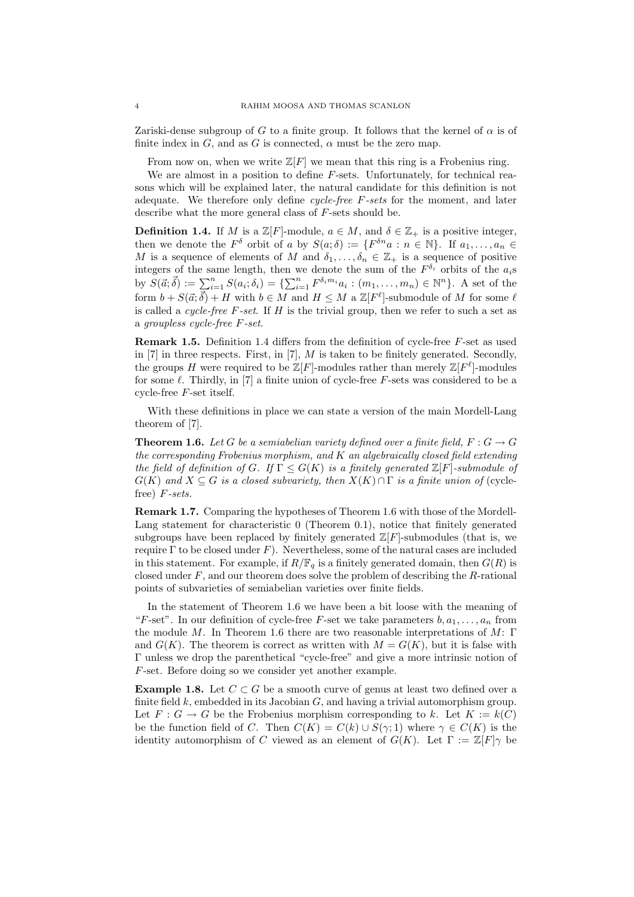Zariski-dense subgroup of G to a finite group. It follows that the kernel of  $\alpha$  is of finite index in G, and as G is connected,  $\alpha$  must be the zero map.

From now on, when we write  $\mathbb{Z}[F]$  we mean that this ring is a Frobenius ring.

We are almost in a position to define F-sets. Unfortunately, for technical reasons which will be explained later, the natural candidate for this definition is not adequate. We therefore only define *cycle-free*  $F\text{-}sets$  for the moment, and later describe what the more general class of F-sets should be.

**Definition 1.4.** If M is a  $\mathbb{Z}[F]$ -module,  $a \in M$ , and  $\delta \in \mathbb{Z}_+$  is a positive integer, then we denote the  $F^{\delta}$  orbit of a by  $S(a;\delta) := \{F^{\delta n}a : n \in \mathbb{N}\}\$ . If  $a_1, \ldots, a_n \in$ M is a sequence of elements of M and  $\delta_1, \ldots, \delta_n \in \mathbb{Z}_+$  is a sequence of positive integers of the same length, then we denote the sum of the  $F^{\delta_i}$  orbits of the  $a_i$ s by  $S(\vec{a}; \vec{\delta}) := \sum_{i=1}^{n} S(a_i; \delta_i) = \{ \sum_{i=1}^{n} F^{\delta_i m_i} a_i : (m_1, \dots, m_n) \in \mathbb{N}^n \}.$  A set of the form  $b + S(\vec{a}; \vec{\delta}) + H$  with  $b \in M$  and  $H \leq M$  a  $\mathbb{Z}[F^{\ell}]$ -submodule of M for some  $\ell$ is called a *cycle-free F-set*. If  $H$  is the trivial group, then we refer to such a set as a groupless cycle-free F-set.

Remark 1.5. Definition 1.4 differs from the definition of cycle-free F-set as used in  $[7]$  in three respects. First, in  $[7]$ , M is taken to be finitely generated. Secondly, the groups H were required to be  $\mathbb{Z}[F]$ -modules rather than merely  $\mathbb{Z}[F^{\ell}]$ -modules for some  $\ell$ . Thirdly, in [7] a finite union of cycle-free F-sets was considered to be a cycle-free F-set itself.

With these definitions in place we can state a version of the main Mordell-Lang theorem of [7].

**Theorem 1.6.** Let G be a semiabelian variety defined over a finite field,  $F: G \to G$ the corresponding Frobenius morphism, and  $K$  an algebraically closed field extending the field of definition of G. If  $\Gamma \leq G(K)$  is a finitely generated  $\mathbb{Z}[F]$ -submodule of  $G(K)$  and  $X \subseteq G$  is a closed subvariety, then  $X(K) \cap \Gamma$  is a finite union of (cyclefree) F-sets.

Remark 1.7. Comparing the hypotheses of Theorem 1.6 with those of the Mordell-Lang statement for characteristic 0 (Theorem 0.1), notice that finitely generated subgroups have been replaced by finitely generated  $\mathbb{Z}[F]$ -submodules (that is, we require  $\Gamma$  to be closed under  $F$ ). Nevertheless, some of the natural cases are included in this statement. For example, if  $R/\mathbb{F}_q$  is a finitely generated domain, then  $G(R)$  is closed under  $F$ , and our theorem does solve the problem of describing the  $R$ -rational points of subvarieties of semiabelian varieties over finite fields.

In the statement of Theorem 1.6 we have been a bit loose with the meaning of "F-set". In our definition of cycle-free F-set we take parameters  $b, a_1, \ldots, a_n$  from the module M. In Theorem 1.6 there are two reasonable interpretations of  $M$ : Γ and  $G(K)$ . The theorem is correct as written with  $M = G(K)$ , but it is false with Γ unless we drop the parenthetical "cycle-free" and give a more intrinsic notion of F-set. Before doing so we consider yet another example.

**Example 1.8.** Let  $C \subset G$  be a smooth curve of genus at least two defined over a finite field  $k$ , embedded in its Jacobian  $G$ , and having a trivial automorphism group. Let  $F: G \to G$  be the Frobenius morphism corresponding to k. Let  $K := k(C)$ be the function field of C. Then  $C(K) = C(k) \cup S(\gamma; 1)$  where  $\gamma \in C(K)$  is the identity automorphism of C viewed as an element of  $G(K)$ . Let  $\Gamma := \mathbb{Z}[F]\gamma$  be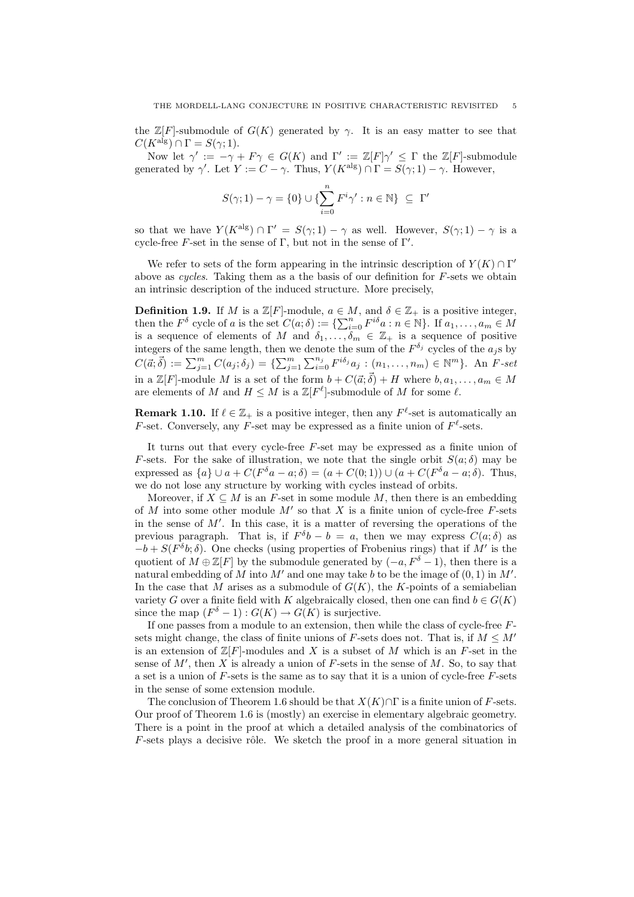the  $\mathbb{Z}[F]$ -submodule of  $G(K)$  generated by  $\gamma$ . It is an easy matter to see that  $C(K^{alg}) \cap \Gamma = S(\gamma; 1).$ 

Now let  $\gamma' := -\gamma + F\gamma \in G(K)$  and  $\Gamma' := \mathbb{Z}[F]\gamma' \leq \Gamma$  the  $\mathbb{Z}[F]$ -submodule generated by  $\gamma'$ . Let  $Y := C - \gamma$ . Thus,  $Y(K^{\text{alg}}) \cap \Gamma = S(\gamma; 1) - \gamma$ . However,

$$
S(\gamma;1)-\gamma=\{0\}\cup\{\sum_{i=0}^nF^i\gamma':n\in\mathbb{N}\}\;\subseteq\;\Gamma'
$$

so that we have  $Y(K^{\text{alg}}) \cap \Gamma' = S(\gamma; 1) - \gamma$  as well. However,  $S(\gamma; 1) - \gamma$  is a cycle-free  $F$ -set in the sense of  $\Gamma$ , but not in the sense of  $\Gamma'$ .

We refer to sets of the form appearing in the intrinsic description of  $Y(K) \cap \Gamma'$ above as cycles. Taking them as a the basis of our definition for  $F$ -sets we obtain an intrinsic description of the induced structure. More precisely,

**Definition 1.9.** If M is a  $\mathbb{Z}[F]$ -module,  $a \in M$ , and  $\delta \in \mathbb{Z}_+$  is a positive integer, then the  $F^{\delta}$  cycle of a is the set  $C(a; \delta) := \{ \sum_{i=0}^{n} F^{i\delta} a : n \in \mathbb{N} \}$ . If  $a_1, \ldots, a_m \in M$ is a sequence of elements of M and  $\delta_1, \ldots, \delta_m \in \mathbb{Z}_+$  is a sequence of positive integers of the same length, then we denote the sum of the  $F^{\delta_j}$  cycles of the  $a_j$ s by  $C(\vec{a}; \vec{\delta}) := \sum_{j=1}^{m} C(a_j; \delta_j) = \{ \sum_{j=1}^{m} \sum_{i=0}^{n_j} F^{i\delta_j} a_j : (n_1, \ldots, n_m) \in \mathbb{N}^m \}.$  An  $F\text{-}set$ in a  $\mathbb{Z}[F]$ -module M is a set of the form  $b + C(\vec{a}; \vec{\delta}) + H$  where  $b, a_1, \ldots, a_m \in M$ are elements of M and  $H \leq M$  is a  $\mathbb{Z}[F^{\ell}]$ -submodule of M for some  $\ell$ .

**Remark 1.10.** If  $\ell \in \mathbb{Z}_+$  is a positive integer, then any  $F^{\ell}$ -set is automatically an F-set. Conversely, any F-set may be expressed as a finite union of  $F^{\ell}$ -sets.

It turns out that every cycle-free F-set may be expressed as a finite union of F-sets. For the sake of illustration, we note that the single orbit  $S(a; \delta)$  may be expressed as  $\{a\} \cup a + C(F^{\delta}a - a; \delta) = (a + C(0; 1)) \cup (a + C(F^{\delta}a - a; \delta)$ . Thus, we do not lose any structure by working with cycles instead of orbits.

Moreover, if  $X \subseteq M$  is an F-set in some module M, then there is an embedding of M into some other module  $M'$  so that X is a finite union of cycle-free F-sets in the sense of  $M'$ . In this case, it is a matter of reversing the operations of the previous paragraph. That is, if  $F^{\delta}b - b = a$ , then we may express  $C(a; \delta)$  as  $-b + S(F<sup>\delta</sup>b; \delta)$ . One checks (using properties of Frobenius rings) that if M' is the quotient of  $M \oplus \mathbb{Z}[F]$  by the submodule generated by  $(-a, F^{\delta} - 1)$ , then there is a natural embedding of M into  $M'$  and one may take b to be the image of  $(0, 1)$  in  $M'$ . In the case that  $M$  arises as a submodule of  $G(K)$ , the K-points of a semiabelian variety G over a finite field with K algebraically closed, then one can find  $b \in G(K)$ since the map  $(F^{\delta} - 1) : G(K) \to G(K)$  is surjective.

If one passes from a module to an extension, then while the class of cycle-free  $F$ sets might change, the class of finite unions of F-sets does not. That is, if  $M \leq M'$ is an extension of  $\mathbb{Z}[F]$ -modules and X is a subset of M which is an F-set in the sense of  $M'$ , then X is already a union of F-sets in the sense of M. So, to say that a set is a union of  $F$ -sets is the same as to say that it is a union of cycle-free  $F$ -sets in the sense of some extension module.

The conclusion of Theorem 1.6 should be that  $X(K) \cap \Gamma$  is a finite union of F-sets. Our proof of Theorem 1.6 is (mostly) an exercise in elementary algebraic geometry. There is a point in the proof at which a detailed analysis of the combinatorics of  $F$ -sets plays a decisive rôle. We sketch the proof in a more general situation in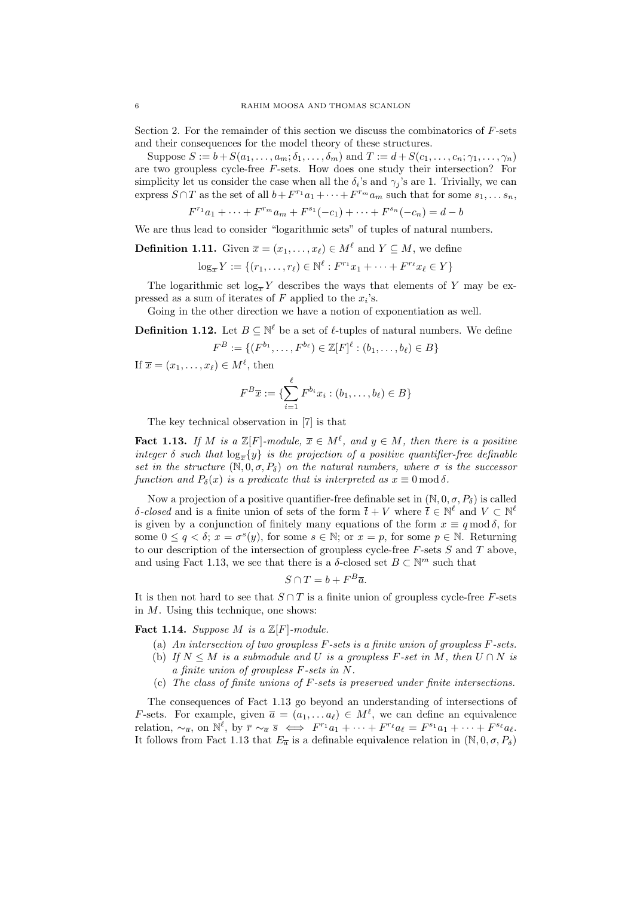Section 2. For the remainder of this section we discuss the combinatorics of  $F$ -sets and their consequences for the model theory of these structures.

Suppose  $S := b + S(a_1, \ldots, a_m; \delta_1, \ldots, \delta_m)$  and  $T := d + S(c_1, \ldots, c_n; \gamma_1, \ldots, \gamma_n)$ are two groupless cycle-free F-sets. How does one study their intersection? For simplicity let us consider the case when all the  $\delta_i$ 's and  $\gamma_j$ 's are 1. Trivially, we can express  $S \cap T$  as the set of all  $b + F^{r_1}a_1 + \cdots + F^{r_m}a_m$  such that for some  $s_1, \ldots s_n$ ,

$$
F^{r_1}a_1 + \dots + F^{r_m}a_m + F^{s_1}(-c_1) + \dots + F^{s_n}(-c_n) = d - b
$$

We are thus lead to consider "logarithmic sets" of tuples of natural numbers.

**Definition 1.11.** Given  $\overline{x} = (x_1, \ldots, x_\ell) \in M^\ell$  and  $Y \subseteq M$ , we define

$$
\log_{\overline{x}} Y := \{ (r_1, \dots, r_\ell) \in \mathbb{N}^\ell : F^{r_1} x_1 + \dots + F^{r_\ell} x_\ell \in Y \}
$$

The logarithmic set  $log_{\overline{x}} Y$  describes the ways that elements of Y may be expressed as a sum of iterates of  $F$  applied to the  $x_i$ 's.

Going in the other direction we have a notion of exponentiation as well.

**Definition 1.12.** Let  $B \subseteq \mathbb{N}^{\ell}$  be a set of  $\ell$ -tuples of natural numbers. We define

$$
F^B := \{ (F^{b_1}, \dots, F^{b_\ell}) \in \mathbb{Z}[F]^\ell : (b_1, \dots, b_\ell) \in B \}
$$

If  $\overline{x} = (x_1, \ldots, x_\ell) \in M^\ell$ , then

$$
F^{B}\overline{x} := \{ \sum_{i=1}^{\ell} F^{b_i} x_i : (b_1, \dots, b_{\ell}) \in B \}
$$

The key technical observation in [7] is that

**Fact 1.13.** If M is a  $\mathbb{Z}[F]$ -module,  $\overline{x} \in M^{\ell}$ , and  $y \in M$ , then there is a positive integer  $\delta$  such that  $\log_{\overline{\tau}}\{y\}$  is the projection of a positive quantifier-free definable set in the structure  $(N, 0, \sigma, P_{\delta})$  on the natural numbers, where  $\sigma$  is the successor function and  $P_\delta(x)$  is a predicate that is interpreted as  $x \equiv 0 \mod \delta$ .

Now a projection of a positive quantifier-free definable set in  $(N, 0, \sigma, P_{\delta})$  is called δ-closed and is a finite union of sets of the form  $\bar{t} + V$  where  $\bar{t} \in \mathbb{N}^{\ell}$  and  $V \subset \mathbb{N}^{\ell}$ is given by a conjunction of finitely many equations of the form  $x \equiv q \mod \delta$ , for some  $0 \le q < \delta$ ;  $x = \sigma^s(y)$ , for some  $s \in \mathbb{N}$ ; or  $x = p$ , for some  $p \in \mathbb{N}$ . Returning to our description of the intersection of groupless cycle-free  $F$ -sets  $S$  and  $T$  above, and using Fact 1.13, we see that there is a  $\delta$ -closed set  $B \subset \mathbb{N}^m$  such that

$$
S \cap T = b + F^B \overline{a}.
$$

It is then not hard to see that  $S \cap T$  is a finite union of groupless cycle-free F-sets in  $M$ . Using this technique, one shows:

Fact 1.14. Suppose M is a  $\mathbb{Z}[F]$ -module.

- (a) An intersection of two groupless F-sets is a finite union of groupless F-sets.
- (b) If  $N \leq M$  is a submodule and U is a groupless F-set in M, then  $U \cap N$  is a finite union of groupless F-sets in N.
- (c) The class of finite unions of F-sets is preserved under finite intersections.

The consequences of Fact 1.13 go beyond an understanding of intersections of *F*-sets. For example, given  $\bar{a} = (a_1, \ldots a_\ell) \in M^\ell$ , we can define an equivalence relation,  $\sim_{\overline{\alpha}}$ , on  $\mathbb{N}^{\ell}$ , by  $\overline{r} \sim_{\overline{\alpha}} \overline{s} \iff F^{r_1}a_1 + \cdots + F^{r_{\ell}}a_{\ell} = F^{s_1}a_1 + \cdots + F^{s_{\ell}}a_{\ell}$ . It follows from Fact 1.13 that  $E_{\overline{a}}$  is a definable equivalence relation in  $(\mathbb{N}, 0, \sigma, P_{\delta})$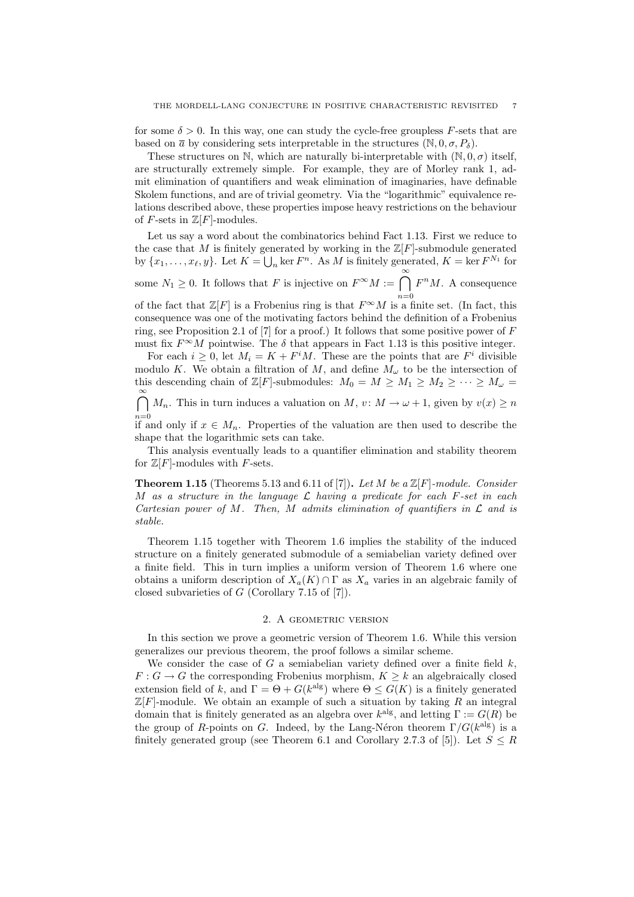for some  $\delta > 0$ . In this way, one can study the cycle-free groupless F-sets that are based on  $\bar{a}$  by considering sets interpretable in the structures  $(N, 0, \sigma, P_{\delta})$ .

These structures on N, which are naturally bi-interpretable with  $(N, 0, \sigma)$  itself, are structurally extremely simple. For example, they are of Morley rank 1, admit elimination of quantifiers and weak elimination of imaginaries, have definable Skolem functions, and are of trivial geometry. Via the "logarithmic" equivalence relations described above, these properties impose heavy restrictions on the behaviour of F-sets in  $\mathbb{Z}[F]$ -modules.

Let us say a word about the combinatorics behind Fact 1.13. First we reduce to the case that M is finitely generated by working in the  $\mathbb{Z}[F]$ -submodule generated by  $\{x_1, \ldots, x_\ell, y\}$ . Let  $K = \bigcup_n \ker F^n$ . As M is finitely generated,  $K = \ker F^{N_1}$  for

some  $N_1 \geq 0$ . It follows that F is injective on  $F^{\infty}M := \bigcap^{\infty}$  $n=0$  $F^nM$ . A consequence

of the fact that  $\mathbb{Z}[F]$  is a Frobenius ring is that  $F^{\infty}M$  is a finite set. (In fact, this consequence was one of the motivating factors behind the definition of a Frobenius ring, see Proposition 2.1 of [7] for a proof.) It follows that some positive power of  $F$ must fix  $F^{\infty}M$  pointwise. The  $\delta$  that appears in Fact 1.13 is this positive integer.

For each  $i \geq 0$ , let  $M_i = K + F^i M$ . These are the points that are  $F^i$  divisible modulo K. We obtain a filtration of M, and define  $M_{\omega}$  to be the intersection of this descending chain of  $\mathbb{Z}[F]$ -submodules:  $M_0 = M \ge M_1 \ge M_2 \ge \cdots \ge M_\omega$ 

 $\bigcap_{i=1}^{\infty} M_n$ . This in turn induces a valuation on  $M$ ,  $v : M \to \omega + 1$ , given by  $v(x) \geq n$ 

 $n=0$ <br>if and only if  $x \in M_n$ . Properties of the valuation are then used to describe the shape that the logarithmic sets can take.

This analysis eventually leads to a quantifier elimination and stability theorem for  $\mathbb{Z}[F]$ -modules with F-sets.

**Theorem 1.15** (Theorems 5.13 and 6.11 of [7]). Let M be a  $\mathbb{Z}[F]$ -module. Consider M as a structure in the language  $\mathcal L$  having a predicate for each F-set in each Cartesian power of M. Then, M admits elimination of quantifiers in  $\mathcal L$  and is stable.

Theorem 1.15 together with Theorem 1.6 implies the stability of the induced structure on a finitely generated submodule of a semiabelian variety defined over a finite field. This in turn implies a uniform version of Theorem 1.6 where one obtains a uniform description of  $X_a(K) \cap \Gamma$  as  $X_a$  varies in an algebraic family of closed subvarieties of  $G$  (Corollary 7.15 of [7]).

# 2. A GEOMETRIC VERSION

In this section we prove a geometric version of Theorem 1.6. While this version generalizes our previous theorem, the proof follows a similar scheme.

We consider the case of G a semiabelian variety defined over a finite field  $k$ ,  $F: G \to G$  the corresponding Frobenius morphism,  $K \geq k$  an algebraically closed extension field of k, and  $\Gamma = \Theta + G(k^{\text{alg}})$  where  $\Theta \leq G(K)$  is a finitely generated  $\mathbb{Z}[F]$ -module. We obtain an example of such a situation by taking R an integral domain that is finitely generated as an algebra over  $k<sup>alg</sup>$ , and letting  $\Gamma := G(R)$  be the group of R-points on G. Indeed, by the Lang-Néron theorem  $\Gamma/G(k^{\text{alg}})$  is a finitely generated group (see Theorem 6.1 and Corollary 2.7.3 of [5]). Let  $S \leq R$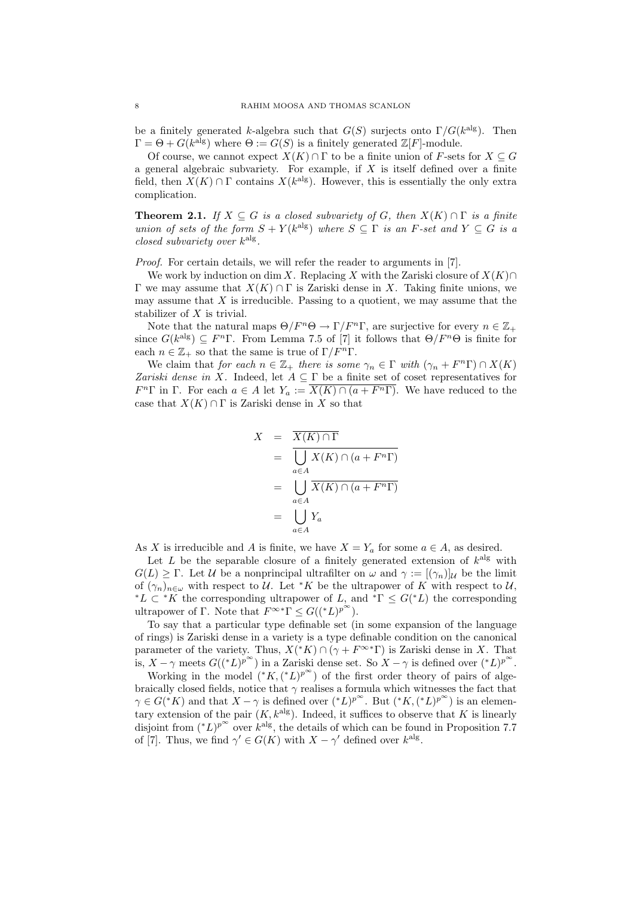be a finitely generated k-algebra such that  $G(S)$  surjects onto  $\Gamma/G(k^{\text{alg}})$ . Then  $\Gamma = \Theta + G(k^{\text{alg}})$  where  $\Theta := G(S)$  is a finitely generated  $\mathbb{Z}[F]$ -module.

Of course, we cannot expect  $X(K) \cap \Gamma$  to be a finite union of F-sets for  $X \subseteq G$ a general algebraic subvariety. For example, if  $X$  is itself defined over a finite field, then  $X(K) \cap \Gamma$  contains  $X(k^{\text{alg}})$ . However, this is essentially the only extra complication.

**Theorem 2.1.** If  $X \subseteq G$  is a closed subvariety of G, then  $X(K) \cap \Gamma$  is a finite union of sets of the form  $S + Y(k^{\text{alg}})$  where  $S \subseteq \Gamma$  is an F-set and  $Y \subseteq G$  is a closed subvariety over  $k^{\text{alg}}$ .

Proof. For certain details, we will refer the reader to arguments in [7].

We work by induction on dim X. Replacing X with the Zariski closure of  $X(K) \cap$ Γ we may assume that X(K) ∩ Γ is Zariski dense in X. Taking finite unions, we may assume that  $X$  is irreducible. Passing to a quotient, we may assume that the stabilizer of X is trivial.

Note that the natural maps  $\Theta/F^n\Theta \to \Gamma/F^n\Gamma$ , are surjective for every  $n \in \mathbb{Z}_+$ since  $G(k^{\text{alg}}) \subseteq F^n\Gamma$ . From Lemma 7.5 of [7] it follows that  $\Theta/F^n\Theta$  is finite for each  $n \in \mathbb{Z}_+$  so that the same is true of  $\Gamma/F^n\Gamma$ .

We claim that for each  $n \in \mathbb{Z}_+$  there is some  $\gamma_n \in \Gamma$  with  $(\gamma_n + F^n \Gamma) \cap X(K)$ Zariski dense in X. Indeed, let  $A \subseteq \Gamma$  be a finite set of coset representatives for  $F^n\Gamma$  in  $\Gamma$ . For each  $a \in A$  let  $Y_a := \overline{X(K) \cap (a + F^n\Gamma)}$ . We have reduced to the case that  $X(K) \cap \Gamma$  is Zariski dense in X so that

$$
X = \overline{X(K) \cap \Gamma}
$$
  
= 
$$
\overline{\bigcup_{a \in A} X(K) \cap (a + F^{n}\Gamma)}
$$
  
= 
$$
\bigcup_{a \in A} \overline{X(K) \cap (a + F^{n}\Gamma)}
$$
  
= 
$$
\bigcup_{a \in A} Y_{a}
$$

As X is irreducible and A is finite, we have  $X = Y_a$  for some  $a \in A$ , as desired.

Let L be the separable closure of a finitely generated extension of  $k^{\text{alg}}$  with  $G(L) \geq \Gamma$ . Let U be a nonprincipal ultrafilter on  $\omega$  and  $\gamma := [(\gamma_n)]_{\mathcal{U}}$  be the limit of  $(\gamma_n)_{n\in\omega}$  with respect to U. Let \*K be the ultrapower of K with respect to U, <sup>\*</sup>L ⊂ <sup>\*</sup>K the corresponding ultrapower of L, and <sup>\*</sup> $\Gamma \leq G(^*L)$  the corresponding ultrapower of Γ. Note that  $F^{\infty}$ <sup>\*</sup>Γ  $\leq G(({}^{*}L)^{p^{\infty}})$ .

To say that a particular type definable set (in some expansion of the language of rings) is Zariski dense in a variety is a type definable condition on the canonical parameter of the variety. Thus,  $X({^*K}) \cap (\gamma + F^{\infty *}\Gamma)$  is Zariski dense in X. That is,  $X - \gamma$  meets  $G(({}^*L)^{p^{\infty}})$  in a Zariski dense set. So  $X - \gamma$  is defined over  $({}^*L)^{p^{\infty}}$ .

Working in the model  $(*K, (*L)^{p^{\infty}})$  of the first order theory of pairs of algebraically closed fields, notice that  $\gamma$  realises a formula which witnesses the fact that  $\gamma \in G(*K)$  and that  $X - \gamma$  is defined over  $({}^*L)^{p^\infty}$ . But  $({}^*K, ({}^*L)^{p^\infty})$  is an elementary extension of the pair  $(K, k^{\text{alg}})$ . Indeed, it suffices to observe that K is linearly disjoint from  $({}^*L)^{p^\infty}$  over  $k^{\text{alg}}$ , the details of which can be found in Proposition 7.7 of [7]. Thus, we find  $\gamma' \in G(K)$  with  $X - \gamma'$  defined over  $k^{\text{alg}}$ .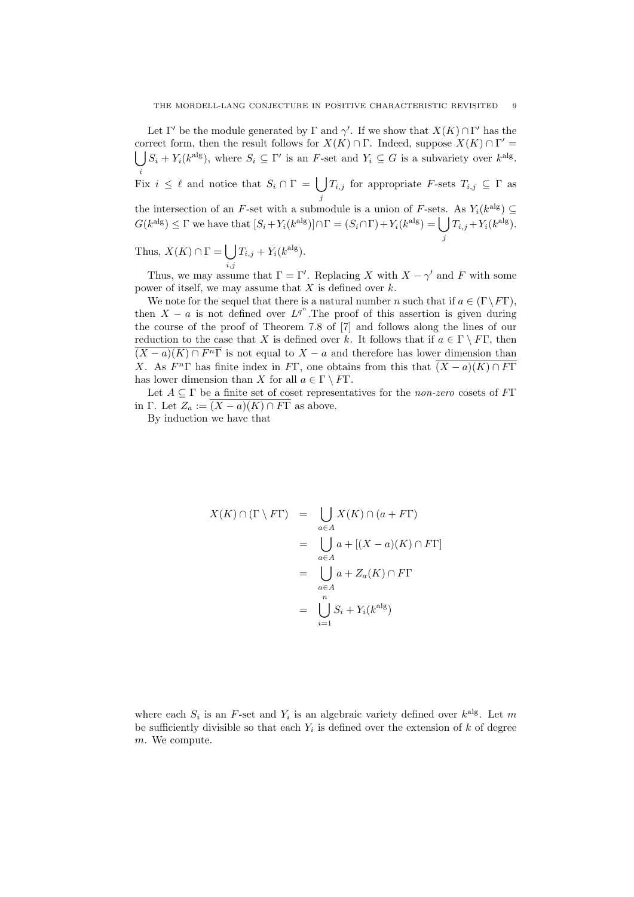Let  $\Gamma'$  be the module generated by  $\Gamma$  and  $\gamma'$ . If we show that  $X(K) \cap \Gamma'$  has the correct form, then the result follows for  $X(K) \cap \Gamma$ . Indeed, suppose  $X(K) \cap \Gamma'$ correct form, then the result follows for  $X(K) \cap \Gamma$ . Indeed, suppose  $X(K) \cap \Gamma' = \bigcup S_i + Y_i(k^{\text{alg}})$ , where  $S_i \subseteq \Gamma'$  is an F-set and  $Y_i \subseteq G$  is a subvariety over  $k^{\text{alg}}$ .

 $i \in \ell$  and notice that  $S_i \cap \Gamma = \bigcup T_{i,j}$  for appropriate F-sets  $T_{i,j} \subseteq \Gamma$  as j

the intersection of an F-set with a submodule is a union of F-sets. As  $Y_i(k^{\text{alg}}) \subseteq$  $G(k^{\text{alg}}) \leq \Gamma$  we have that  $[S_i + Y_i(k^{\text{alg}})] \cap \Gamma = (S_i \cap \Gamma) + Y_i(k^{\text{alg}}) = \emptyset$ j  $T_{i,j} + Y_i(k^{\text{alg}}).$ 

Thus,  $X(K) \cap \Gamma = \begin{bmatrix} \end{bmatrix}$  $_{i,j}$  $T_{i,j} + Y_i(k^{\text{alg}}).$ 

Thus, we may assume that  $\Gamma = \Gamma'$ . Replacing X with  $X - \gamma'$  and F with some power of itself, we may assume that  $X$  is defined over  $k$ .

We note for the sequel that there is a natural number n such that if  $a \in (\Gamma \backslash F\Gamma)$ , then  $X - a$  is not defined over  $L^{q^n}$ . The proof of this assertion is given during the course of the proof of Theorem 7.8 of [7] and follows along the lines of our reduction to the case that X is defined over k. It follows that if  $a \in \Gamma \setminus F\Gamma$ , then  $\overline{(X-a)(K)\cap F^n\Gamma}$  is not equal to  $X-a$  and therefore has lower dimension than X. As  $F^{n}\Gamma$  has finite index in F $\Gamma$ , one obtains from this that  $\overline{(X-a)(K)\cap F\Gamma}$ has lower dimension than X for all  $a \in \Gamma \setminus F\Gamma$ .

Let  $A \subseteq \Gamma$  be a finite set of coset representatives for the non-zero cosets of FT in Γ. Let  $Z_a := \overline{(X-a)(K) \cap F\Gamma}$  as above.

By induction we have that

$$
X(K) \cap (\Gamma \setminus F\Gamma) = \bigcup_{a \in A} X(K) \cap (a + F\Gamma)
$$
  
= 
$$
\bigcup_{a \in A} a + [(X - a)(K) \cap F\Gamma]
$$
  
= 
$$
\bigcup_{a \in A} a + Z_a(K) \cap F\Gamma
$$
  
= 
$$
\bigcup_{i=1}^n S_i + Y_i(k^{\text{alg}})
$$

where each  $S_i$  is an F-set and  $Y_i$  is an algebraic variety defined over  $k^{\text{alg}}$ . Let m be sufficiently divisible so that each  $Y_i$  is defined over the extension of k of degree m. We compute.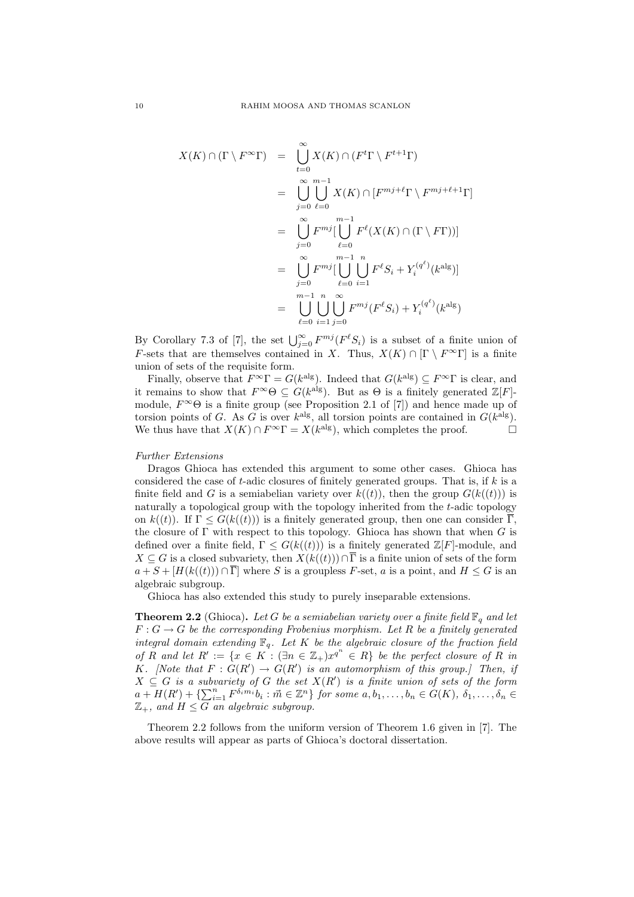$$
X(K) \cap (\Gamma \setminus F^{\infty} \Gamma) = \bigcup_{t=0}^{\infty} X(K) \cap (F^t \Gamma \setminus F^{t+1} \Gamma)
$$
  
\n
$$
= \bigcup_{j=0}^{\infty} \bigcup_{\ell=0}^{m-1} X(K) \cap [F^{mj+\ell} \Gamma \setminus F^{mj+\ell+1} \Gamma]
$$
  
\n
$$
= \bigcup_{j=0}^{\infty} F^{mj} \bigcup_{\ell=0}^{m-1} F^{\ell}(X(K) \cap (\Gamma \setminus F \Gamma))\big]
$$
  
\n
$$
= \bigcup_{j=0}^{\infty} F^{mj} \bigcup_{\ell=0}^{m-1} \bigcup_{i=1}^{n} F^{\ell} S_i + Y_i^{(q^{\ell})}(k^{\text{alg}})\big]
$$
  
\n
$$
= \bigcup_{\ell=0}^{m-1} \bigcup_{i=1}^{n} \bigcup_{j=0}^{\infty} F^{mj}(F^{\ell} S_i) + Y_i^{(q^{\ell})}(k^{\text{alg}})
$$

By Corollary 7.3 of [7], the set  $\bigcup_{j=0}^{\infty} F^{mj}(F^{\ell}S_i)$  is a subset of a finite union of F-sets that are themselves contained in X. Thus,  $X(K) \cap [\Gamma \setminus F^{\infty} \Gamma]$  is a finite union of sets of the requisite form.

Finally, observe that  $F^{\infty} \Gamma = G(k^{\text{alg}})$ . Indeed that  $G(k^{\text{alg}}) \subseteq F^{\infty} \Gamma$  is clear, and it remains to show that  $F^{\infty} \Theta \subseteq G(k^{\text{alg}})$ . But as  $\Theta$  is a finitely generated  $\mathbb{Z}[F]$ module,  $F^{\infty} \Theta$  is a finite group (see Proposition 2.1 of [7]) and hence made up of torsion points of G. As G is over  $k^{\text{alg}}$ , all torsion points are contained in  $G(k^{\text{alg}})$ . We thus have that  $X(K) \cap F^{\infty} \Gamma = X(k^{\text{alg}})$ , which completes the proof.

### Further Extensions

Dragos Ghioca has extended this argument to some other cases. Ghioca has considered the case of t-adic closures of finitely generated groups. That is, if  $k$  is a finite field and G is a semiabelian variety over  $k((t))$ , then the group  $G(k((t)))$  is naturally a topological group with the topology inherited from the t-adic topology on  $k((t))$ . If  $\Gamma \leq G(k((t)))$  is a finitely generated group, then one can consider  $\overline{\Gamma}$ . the closure of  $\Gamma$  with respect to this topology. Ghioca has shown that when  $G$  is defined over a finite field,  $\Gamma \leq G(k(\ell))$  is a finitely generated  $\mathbb{Z}[F]$ -module, and  $X \subseteq G$  is a closed subvariety, then  $X(k((t))) \cap \overline{\Gamma}$  is a finite union of sets of the form  $a + S + [H(k(\ell)) \cap \overline{\Gamma}]$  where S is a groupless F-set, a is a point, and  $H \leq G$  is an algebraic subgroup.

Ghioca has also extended this study to purely inseparable extensions.

**Theorem 2.2** (Ghioca). Let G be a semiabelian variety over a finite field  $\mathbb{F}_q$  and let  $F: G \to G$  be the corresponding Frobenius morphism. Let R be a finitely generated integral domain extending  $\mathbb{F}_q$ . Let K be the algebraic closure of the fraction field of R and let  $R' := \{x \in K : (\exists n \in \mathbb{Z}_+) x^{q^n} \in R\}$  be the perfect closure of R in K. [Note that  $F: G(R') \to G(R')$  is an automorphism of this group.] Then, if  $X \subseteq G$  is a subvariety of G the set  $X(R')$  is a finite union of sets of the form  $a + H(R') + \{\sum_{i=1}^{n} F^{\delta_i m_i} b_i : \vec{m} \in \mathbb{Z}^n\}$  for some  $a, b_1, \ldots, b_n \in G(K)$ ,  $\delta_1, \ldots, \delta_n \in$  $\mathbb{Z}_+$ , and  $H \leq G$  an algebraic subgroup.

Theorem 2.2 follows from the uniform version of Theorem 1.6 given in [7]. The above results will appear as parts of Ghioca's doctoral dissertation.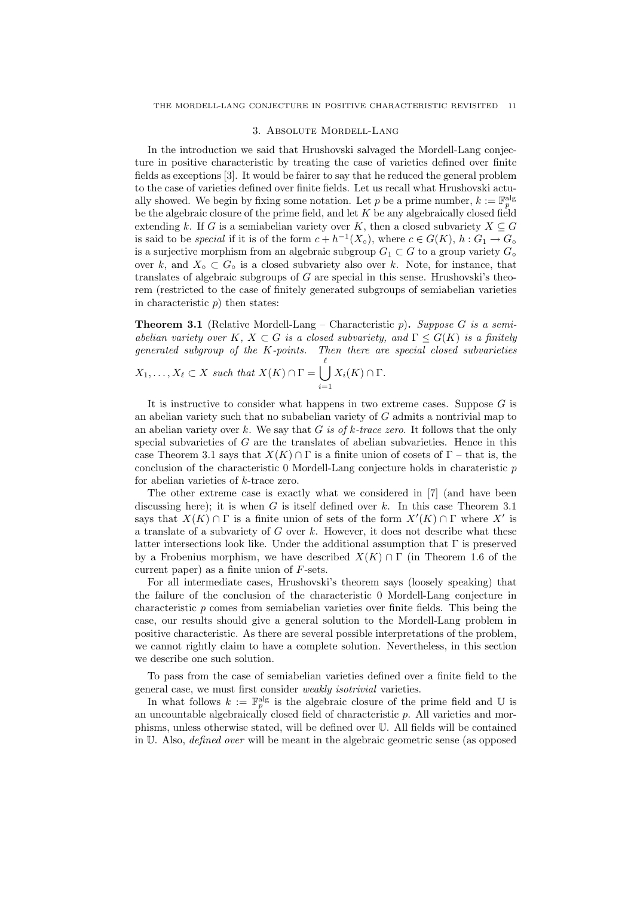#### 3. Absolute Mordell-Lang

In the introduction we said that Hrushovski salvaged the Mordell-Lang conjecture in positive characteristic by treating the case of varieties defined over finite fields as exceptions [3]. It would be fairer to say that he reduced the general problem to the case of varieties defined over finite fields. Let us recall what Hrushovski actually showed. We begin by fixing some notation. Let p be a prime number,  $k := \mathbb{F}_p^{\text{alg}}$ be the algebraic closure of the prime field, and let  $K$  be any algebraically closed field extending k. If G is a semiabelian variety over K, then a closed subvariety  $X \subseteq G$ is said to be *special* if it is of the form  $c + h^{-1}(X_{\circ})$ , where  $c \in G(K)$ ,  $h: G_1 \to G_{\circ}$ is a surjective morphism from an algebraic subgroup  $G_1 \subset G$  to a group variety  $G_{\circ}$ over k, and  $X<sub>o</sub> \subset G<sub>o</sub>$  is a closed subvariety also over k. Note, for instance, that translates of algebraic subgroups of  $G$  are special in this sense. Hrushovski's theorem (restricted to the case of finitely generated subgroups of semiabelian varieties in characteristic  $p$ ) then states:

**Theorem 3.1** (Relative Mordell-Lang – Characteristic p). Suppose G is a semiabelian variety over K,  $X \subset G$  is a closed subvariety, and  $\Gamma \leq G(K)$  is a finitely generated subgroup of the K-points. Then there are special closed subvarieties  $\ell$ 

$$
X_1, \ldots, X_\ell \subset X \text{ such that } X(K) \cap \Gamma = \bigcup_{i=1} X_i(K) \cap \Gamma.
$$

It is instructive to consider what happens in two extreme cases. Suppose  $G$  is an abelian variety such that no subabelian variety of G admits a nontrivial map to an abelian variety over k. We say that G is of k-trace zero. It follows that the only special subvarieties of  $G$  are the translates of abelian subvarieties. Hence in this case Theorem 3.1 says that  $X(K) \cap \Gamma$  is a finite union of cosets of  $\Gamma$  – that is, the conclusion of the characteristic 0 Mordell-Lang conjecture holds in charateristic p for abelian varieties of k-trace zero.

The other extreme case is exactly what we considered in [7] (and have been discussing here); it is when  $G$  is itself defined over  $k$ . In this case Theorem 3.1 says that  $X(K) \cap \Gamma$  is a finite union of sets of the form  $X'(K) \cap \Gamma$  where X' is a translate of a subvariety of  $G$  over  $k$ . However, it does not describe what these latter intersections look like. Under the additional assumption that Γ is preserved by a Frobenius morphism, we have described  $X(K) \cap \Gamma$  (in Theorem 1.6 of the current paper) as a finite union of F-sets.

For all intermediate cases, Hrushovski's theorem says (loosely speaking) that the failure of the conclusion of the characteristic 0 Mordell-Lang conjecture in characteristic p comes from semiabelian varieties over finite fields. This being the case, our results should give a general solution to the Mordell-Lang problem in positive characteristic. As there are several possible interpretations of the problem, we cannot rightly claim to have a complete solution. Nevertheless, in this section we describe one such solution.

To pass from the case of semiabelian varieties defined over a finite field to the general case, we must first consider weakly isotrivial varieties.

In what follows  $k := \mathbb{F}_p^{\text{alg}}$  is the algebraic closure of the prime field and U is an uncountable algebraically closed field of characteristic p. All varieties and morphisms, unless otherwise stated, will be defined over U. All fields will be contained in U. Also, defined over will be meant in the algebraic geometric sense (as opposed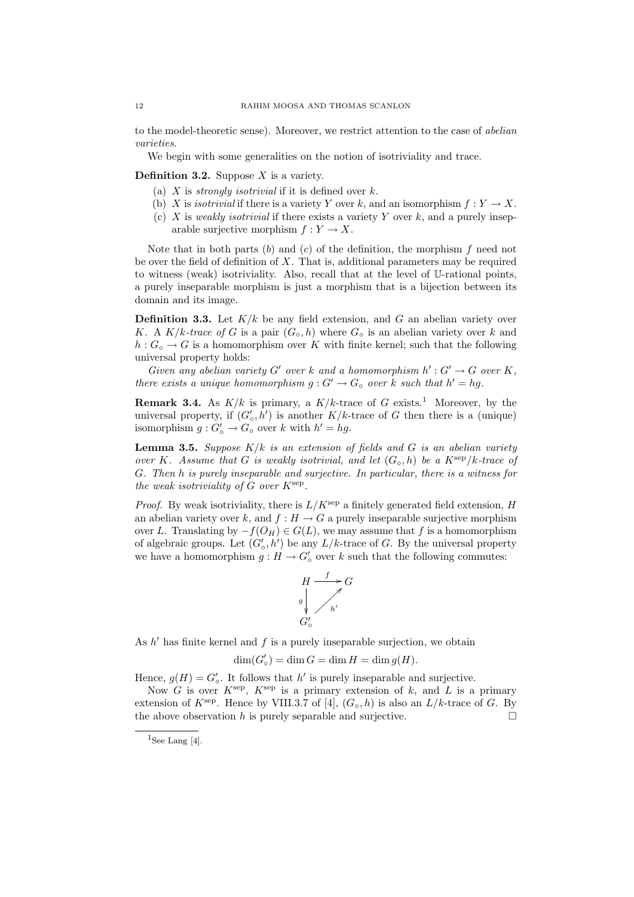to the model-theoretic sense). Moreover, we restrict attention to the case of abelian varieties.

We begin with some generalities on the notion of isotriviality and trace.

### **Definition 3.2.** Suppose  $X$  is a variety.

- (a)  $X$  is *strongly isotrivial* if it is defined over  $k$ .
- (b) X is isotrivial if there is a variety Y over k, and an isomorphism  $f: Y \to X$ .
- (c) X is weakly isotrivial if there exists a variety Y over k, and a purely inseparable surjective morphism  $f: Y \to X$ .

Note that in both parts  $(b)$  and  $(c)$  of the definition, the morphism  $f$  need not be over the field of definition of  $X$ . That is, additional parameters may be required to witness (weak) isotriviality. Also, recall that at the level of U-rational points, a purely inseparable morphism is just a morphism that is a bijection between its domain and its image.

**Definition 3.3.** Let  $K/k$  be any field extension, and G an abelian variety over K. A K/k-trace of G is a pair  $(G_\circ, h)$  where  $G_\circ$  is an abelian variety over k and  $h: G_{\circ} \to G$  is a homomorphism over K with finite kernel; such that the following universal property holds:

Given any abelian variety G' over k and a homomorphism  $h': G' \to G$  over K, there exists a unique homomorphism  $g: G' \to G_{\circ}$  over k such that  $h' = hg$ .

**Remark 3.4.** As  $K/k$  is primary, a  $K/k$ -trace of G exists.<sup>1</sup> Moreover, by the universal property, if  $(G'_{o}, h')$  is another  $K/k$ -trace of G then there is a (unique) isomorphism  $g: G'_{\circ} \to G_{\circ}$  over k with  $h' = hg$ .

**Lemma 3.5.** Suppose  $K/k$  is an extension of fields and G is an abelian variety over K. Assume that G is weakly isotrivial, and let  $(G_\circ, h)$  be a  $K^{\text{sep}}/k$ -trace of G. Then h is purely inseparable and surjective. In particular, there is a witness for the weak isotriviality of  $G$  over  $K^{\text{sep}}$ .

*Proof.* By weak isotriviality, there is  $L/K^{\text{sep}}$  a finitely generated field extension, H an abelian variety over k, and  $f : H \to G$  a purely inseparable surjective morphism over L. Translating by  $-f(O_H) \in G(L)$ , we may assume that f is a homomorphism of algebraic groups. Let  $(G'_{o}, h')$  be any  $L/k$ -trace of G. By the universal property we have a homomorphism  $g: H \to G'_{\circ}$  over k such that the following commutes:



As  $h'$  has finite kernel and  $f$  is a purely inseparable surjection, we obtain

$$
\dim(G'_{\circ}) = \dim G = \dim H = \dim g(H).
$$

Hence,  $g(H) = G'_{\circ}$ . It follows that h' is purely inseparable and surjective.

Now G is over  $K^{\text{sep}}$ ,  $K^{\text{sep}}$  is a primary extension of k, and L is a primary extension of  $K^{\text{sep}}$ . Hence by VIII.3.7 of [4],  $(G_{\text{o}} , h)$  is also an  $L/k$ -trace of G. By the above observation h is purely separable and surjective.  $\square$ 

<sup>&</sup>lt;sup>1</sup>See Lang [4].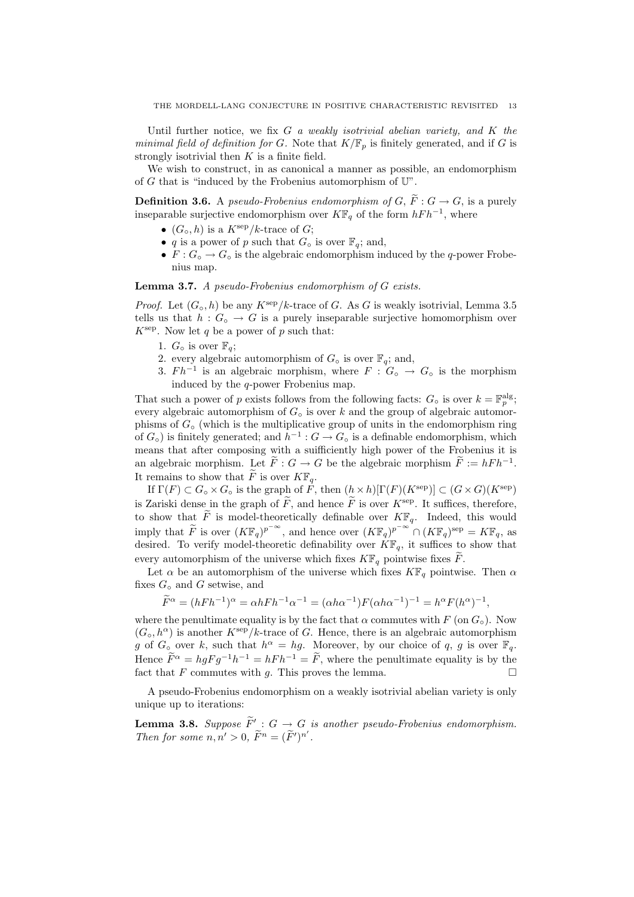Until further notice, we fix  $G$  a weakly isotrivial abelian variety, and  $K$  the minimal field of definition for G. Note that  $K/\mathbb{F}_p$  is finitely generated, and if G is strongly isotrivial then  $K$  is a finite field.

We wish to construct, in as canonical a manner as possible, an endomorphism of G that is "induced by the Frobenius automorphism of  $\mathbb{U}$ ".

**Definition 3.6.** A pseudo-Frobenius endomorphism of  $G, \tilde{F}: G \to G$ , is a purely inseparable surjective endomorphism over  $K\mathbb{F}_q$  of the form  $hFh^{-1}$ , where

- $(G_{\circ}, h)$  is a  $K^{\rm sep}/k$ -trace of  $G$ ;
- q is a power of p such that  $G_{\circ}$  is over  $\mathbb{F}_{q}$ ; and,
- $F: G_{\circ} \to G_{\circ}$  is the algebraic endomorphism induced by the q-power Frobenius map.

Lemma 3.7. A pseudo-Frobenius endomorphism of G exists.

*Proof.* Let  $(G_\circ, h)$  be any  $K^{\text{sep}}/k$ -trace of G. As G is weakly isotrivial, Lemma 3.5 tells us that  $h: G_{\circ} \to G$  is a purely inseparable surjective homomorphism over  $K^{\text{sep}}$ . Now let q be a power of p such that:

- 1.  $G_{\circ}$  is over  $\mathbb{F}_{a}$ ;
- 2. every algebraic automorphism of  $G_{\alpha}$  is over  $\mathbb{F}_q$ ; and,
- 3.  $Fh^{-1}$  is an algebraic morphism, where  $F : G_{\circ} \to G_{\circ}$  is the morphism induced by the q-power Frobenius map.

That such a power of p exists follows from the following facts:  $G_{\circ}$  is over  $k = \mathbb{F}_p^{\text{alg}}$ ; every algebraic automorphism of  $G<sub>o</sub>$  is over k and the group of algebraic automorphisms of  $G<sub>°</sub>$  (which is the multiplicative group of units in the endomorphism ring of  $G_{\circ}$ ) is finitely generated; and  $h^{-1}: G \to G_{\circ}$  is a definable endomorphism, which means that after composing with a suifficiently high power of the Frobenius it is an algebraic morphism. Let  $\widetilde{F}: G \to G$  be the algebraic morphism  $\widetilde{F} := hFh^{-1}$ . It remains to show that  $\widetilde{F}$  is over  $K\mathbb{F}_q$ .

If  $\Gamma(F) \subset G_{\circ} \times G_{\circ}$  is the graph of F, then  $(h \times h)[\Gamma(F)(K^{\text{sep}})] \subset (G \times G)(K^{\text{sep}})$ is Zariski dense in the graph of  $\tilde{F}$ , and hence  $\tilde{F}$  is over  $K^{\text{sep}}$ . It suffices, therefore, to show that  $\widetilde{F}$  is model-theoretically definable over  $K\mathbb{F}_q$ . Indeed, this would imply that  $\widetilde{F}$  is over  $(K\mathbb{F}_q)^{p^{-\infty}}$ , and hence over  $(K\mathbb{F}_q)^{p^{-\infty}} \cap (K\mathbb{F}_q)^{\text{sep}} = K\mathbb{F}_q$ , as desired. To verify model-theoretic definability over  $\overline{K}\mathbb{F}_q$ , it suffices to show that every automorphism of the universe which fixes  $K\mathbb{F}_q$  pointwise fixes F.

Let  $\alpha$  be an automorphism of the universe which fixes  $K\mathbb{F}_q$  pointwise. Then  $\alpha$ fixes  $G_{\circ}$  and G setwise, and

$$
\widetilde{F}^{\alpha} = (hFh^{-1})^{\alpha} = \alpha hFh^{-1}\alpha^{-1} = (\alpha h\alpha^{-1})F(\alpha h\alpha^{-1})^{-1} = h^{\alpha}F(h^{\alpha})^{-1},
$$

where the penultimate equality is by the fact that  $\alpha$  commutes with F (on  $G_{\circ}$ ). Now  $(G_\circ, h^\alpha)$  is another  $K^{\text{sep}}/k$ -trace of G. Hence, there is an algebraic automorphism g of  $G_{\circ}$  over k, such that  $h^{\alpha} = hg$ . Moreover, by our choice of q, g is over  $\mathbb{F}_q$ . Hence  $\widetilde{F}^{\alpha} = hgFg^{-1}h^{-1} = hFh^{-1} = \widetilde{F}$ , where the penultimate equality is by the fact that F commutes with q. This proves the lemma.

A pseudo-Frobenius endomorphism on a weakly isotrivial abelian variety is only unique up to iterations:

**Lemma 3.8.** Suppose  $\widetilde{F}' : G \to G$  is another pseudo-Frobenius endomorphism. Then for some  $n, n' > 0$ ,  $\widetilde{F}^n = (\widetilde{F}')^{n'}$ .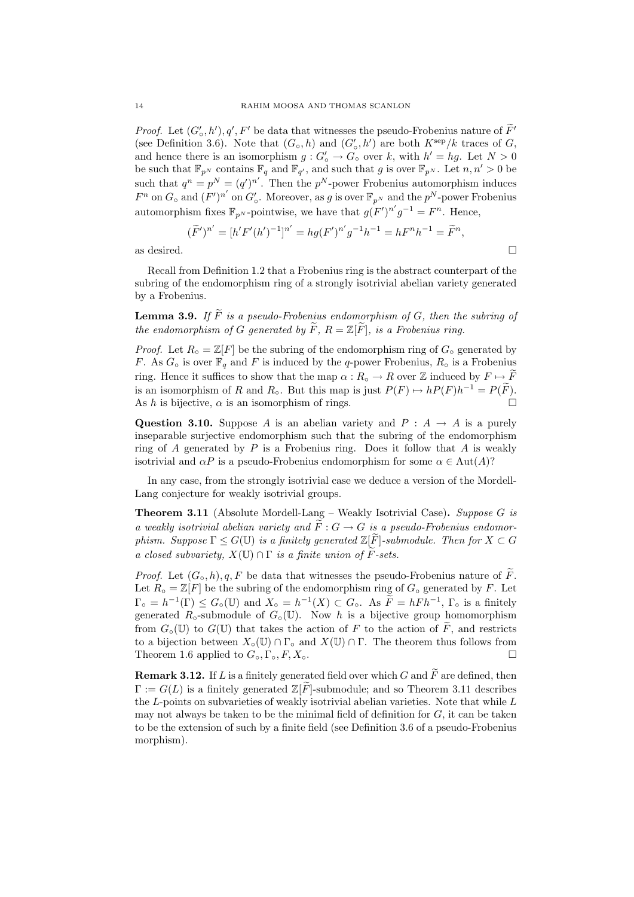*Proof.* Let  $(G'_{o}, h'), q', F'$  be data that witnesses the pseudo-Frobenius nature of  $\overline{F}'$ (see Definition 3.6). Note that  $(G_{\circ}, h)$  and  $(G'_{\circ}, h')$  are both  $K^{\text{sep}}/k$  traces of G, and hence there is an isomorphism  $g: G'_{\circ} \to G_{\circ}$  over k, with  $h' = hg$ . Let  $N > 0$ be such that  $\mathbb{F}_{p^N}$  contains  $\mathbb{F}_q$  and  $\mathbb{F}_{q'}$ , and such that g is over  $\mathbb{F}_{p^N}$ . Let  $n, n' > 0$  be such that  $q^n = p^N = (q')^{n'}$ . Then the  $p^N$ -power Frobenius automorphism induces  $F^n$  on  $G_\circ$  and  $(F')^{n'}$  on  $G'_\circ$ . Moreover, as g is over  $\mathbb{F}_{p^N}$  and the  $p^N$ -power Frobenius automorphism fixes  $\mathbb{F}_{p^N}$ -pointwise, we have that  $g(F')^{n'}g^{-1} = F^n$ . Hence,

$$
(\widetilde{F}')^{n'} = [h'F'(h')^{-1}]^{n'} = hg(F')^{n'}g^{-1}h^{-1} = hF^{n}h^{-1} = \widetilde{F}^{n},
$$
 as desired.

Recall from Definition 1.2 that a Frobenius ring is the abstract counterpart of the subring of the endomorphism ring of a strongly isotrivial abelian variety generated by a Frobenius.

**Lemma 3.9.** If  $\widetilde{F}$  is a pseudo-Frobenius endomorphism of G, then the subring of the endomorphism of G generated by  $\widetilde{F}$ ,  $R = \mathbb{Z}[\widetilde{F}]$ , is a Frobenius ring.

*Proof.* Let  $R \circ = \mathbb{Z}[F]$  be the subring of the endomorphism ring of  $G \circ$  generated by F. As  $G_{\circ}$  is over  $\mathbb{F}_q$  and F is induced by the q-power Frobenius,  $R_{\circ}$  is a Frobenius ring. Hence it suffices to show that the map  $\alpha: R_{\circ} \to R$  over  $\mathbb Z$  induced by  $F \mapsto \widetilde{F}$ is an isomorphism of R and R<sub>☉</sub>. But this map is just  $P(F) \mapsto hP(F)h^{-1} = P(\tilde{F})$ . As h is bijective,  $\alpha$  is an isomorphism of rings.

Question 3.10. Suppose A is an abelian variety and  $P : A \rightarrow A$  is a purely inseparable surjective endomorphism such that the subring of the endomorphism ring of  $A$  generated by  $P$  is a Frobenius ring. Does it follow that  $A$  is weakly isotrivial and  $\alpha P$  is a pseudo-Frobenius endomorphism for some  $\alpha \in \text{Aut}(A)$ ?

In any case, from the strongly isotrivial case we deduce a version of the Mordell-Lang conjecture for weakly isotrivial groups.

**Theorem 3.11** (Absolute Mordell-Lang – Weakly Isotrivial Case). Suppose G is a weakly isotrivial abelian variety and  $\widetilde{F}: G \to G$  is a pseudo-Frobenius endomorphism. Suppose  $\Gamma \leq G(\mathbb{U})$  is a finitely generated  $\mathbb{Z}[\widetilde{F}]$ -submodule. Then for  $X \subset G$ a closed subvariety,  $X(\mathbb{U}) \cap \Gamma$  is a finite union of  $\widetilde{F}$ -sets.

*Proof.* Let  $(G_\circ, h), q, F$  be data that witnesses the pseudo-Frobenius nature of F. Let  $R_{\circ} = \mathbb{Z}[F]$  be the subring of the endomorphism ring of  $G_{\circ}$  generated by F. Let  $\Gamma_{\circ} = h^{-1}(\Gamma) \leq G_{\circ}(\mathbb{U})$  and  $X_{\circ} = h^{-1}(X) \subset G_{\circ}$ . As  $\widetilde{F} = hFh^{-1}$ ,  $\Gamma_{\circ}$  is a finitely generated  $R_{\circ}$ -submodule of  $G_{\circ}(\mathbb{U})$ . Now h is a bijective group homomorphism from  $G_{\circ}(\mathbb{U})$  to  $G(\mathbb{U})$  that takes the action of F to the action of F, and restricts to a bijection between  $X_\circ(\mathbb{U}) \cap \Gamma_\circ$  and  $X(\mathbb{U}) \cap \Gamma$ . The theorem thus follows from Theorem 1.6 applied to  $G_\circ, \Gamma_\circ, F, X_\circ$ .

**Remark 3.12.** If L is a finitely generated field over which G and  $\widetilde{F}$  are defined, then  $\Gamma := G(L)$  is a finitely generated  $\mathbb{Z}[F]$ -submodule; and so Theorem 3.11 describes the  $L$ -points on subvarieties of weakly isotrivial abelian varieties. Note that while  $L$ may not always be taken to be the minimal field of definition for  $G$ , it can be taken to be the extension of such by a finite field (see Definition 3.6 of a pseudo-Frobenius morphism).